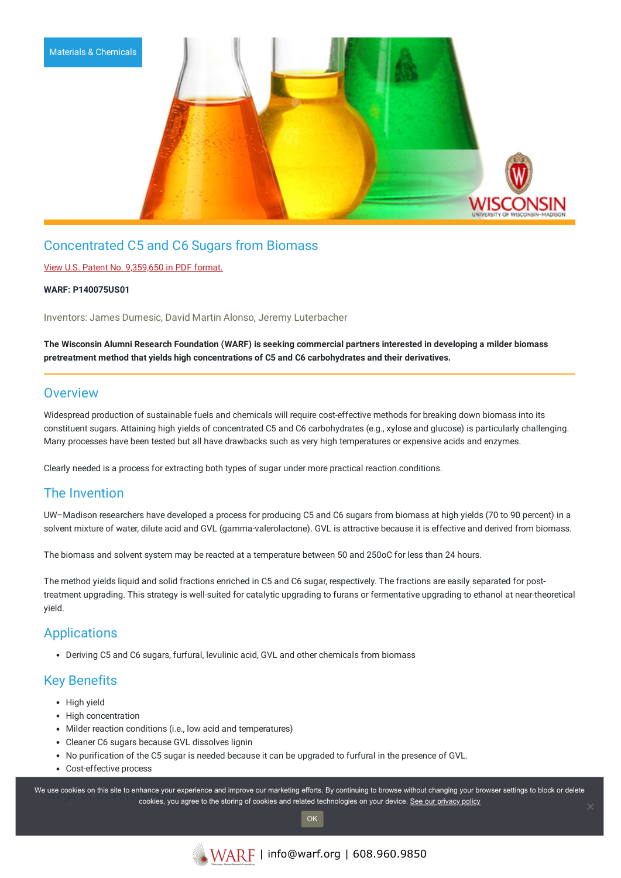

## Concentrated C5 and C6 Sugars from Biomass

### View U.S. Patent No. [9,359,650](https://www.warf.org/wp-content/uploads/technologies/ipstatus/P140075US01.PDF) in PDF format.

#### **WARF: P140075US01**

Inventors: James Dumesic, David Martin Alonso, Jeremy Luterbacher

The Wisconsin Alumni Research Foundation (WARF) is seeking commercial partners interested in developing a milder biomass **pretreatment method that yields high concentrations of C5 and C6 carbohydrates and their derivatives.**

### **Overview**

Widespread production of sustainable fuels and chemicals will require cost-effective methods for breaking down biomass into its constituent sugars. Attaining high yields of concentrated C5 and C6 carbohydrates (e.g., xylose and glucose) is particularly challenging. Many processes have been tested but all have drawbacks such as very high temperatures or expensive acids and enzymes.

Clearly needed is a process for extracting both types of sugar under more practical reaction conditions.

## The Invention

UW–Madison researchers have developed a process for producing C5 and C6 sugars from biomass at high yields (70 to 90 percent) in a solvent mixture of water, dilute acid and GVL (gamma-valerolactone). GVL is attractive because it is effective and derived from biomass.

The biomass and solvent system may be reacted at a temperature between 50 and 250oC for less than 24 hours.

The method yields liquid and solid fractions enriched in C5 and C6 sugar, respectively. The fractions are easily separated for posttreatment upgrading. This strategy is well-suited for catalytic upgrading to furans or fermentative upgrading to ethanol at near-theoretical yield.

## Applications

Deriving C5 and C6 sugars, furfural, levulinic acid, GVL and other chemicals from biomass

## Key Benefits

- High yield
- High concentration
- Milder reaction conditions (i.e., low acid and temperatures)
- Cleaner C6 sugars because GVL dissolves lignin
- No purification of the C5 sugar is needed because it can be upgraded to furfural in the presence of GVL.
- Cost-effective process

We use cookies on this site to enhance your experience and improve our marketing efforts. By continuing to browse without changing your browser settings to block or delete continuing to browser settings to block or delete cookies, you agree to the storing of cookies and related technologies on your device. [See our privacy policy](https://www.warf.org/privacy-policy/)